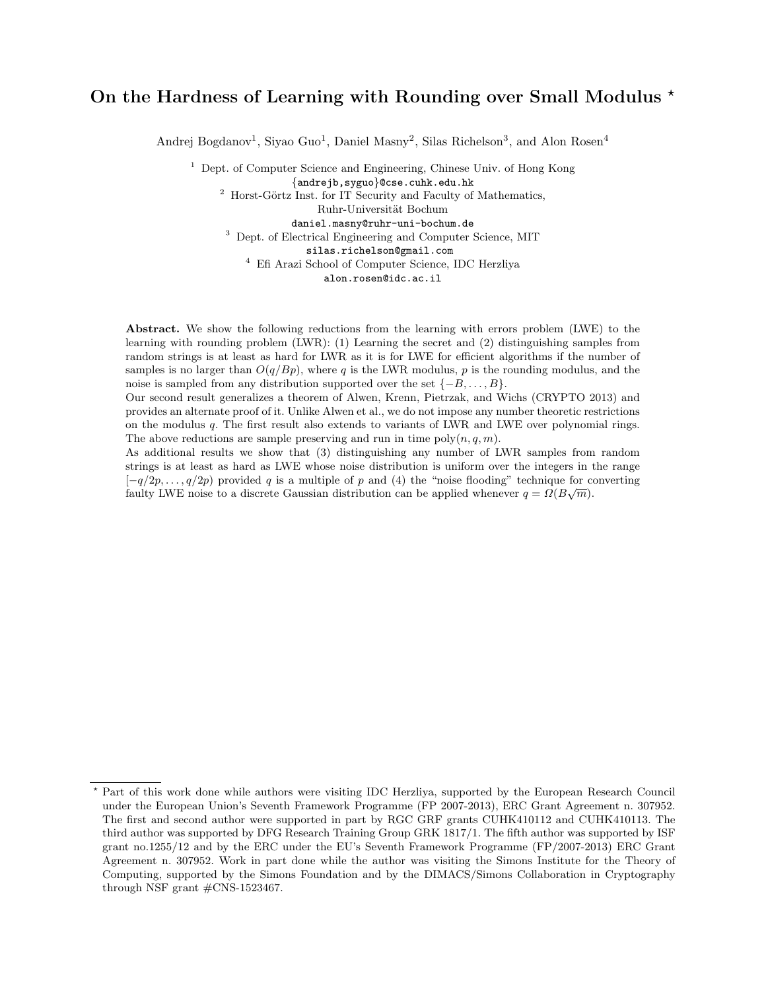# On the Hardness of Learning with Rounding over Small Modulus  $\star$

Andrej Bogdanov<sup>1</sup>, Siyao Guo<sup>1</sup>, Daniel Masny<sup>2</sup>, Silas Richelson<sup>3</sup>, and Alon Rosen<sup>4</sup>

 $1$  Dept. of Computer Science and Engineering, Chinese Univ. of Hong Kong

{andrejb,syguo}@cse.cuhk.edu.hk

 $2$  Horst-Görtz Inst. for IT Security and Faculty of Mathematics,

Ruhr-Universität Bochum

daniel.masny@ruhr-uni-bochum.de <sup>3</sup> Dept. of Electrical Engineering and Computer Science, MIT

silas.richelson@gmail.com

<sup>4</sup> Efi Arazi School of Computer Science, IDC Herzliya

alon.rosen@idc.ac.il

Abstract. We show the following reductions from the learning with errors problem (LWE) to the learning with rounding problem (LWR): (1) Learning the secret and (2) distinguishing samples from random strings is at least as hard for LWR as it is for LWE for efficient algorithms if the number of samples is no larger than  $O(q/Bp)$ , where q is the LWR modulus, p is the rounding modulus, and the noise is sampled from any distribution supported over the set  $\{-B, \ldots, B\}$ .

Our second result generalizes a theorem of Alwen, Krenn, Pietrzak, and Wichs (CRYPTO 2013) and provides an alternate proof of it. Unlike Alwen et al., we do not impose any number theoretic restrictions on the modulus q. The first result also extends to variants of LWR and LWE over polynomial rings. The above reductions are sample preserving and run in time  $poly(n, q, m)$ .

As additional results we show that (3) distinguishing any number of LWR samples from random strings is at least as hard as LWE whose noise distribution is uniform over the integers in the range  $[-q/2p, \ldots, q/2p]$  provided q is a multiple of p and (4) the "noise flooding" technique for converting faulty LWE noise to a discrete Gaussian distribution can be applied whenever  $q = \Omega(B\sqrt{m})$ .

<sup>?</sup> Part of this work done while authors were visiting IDC Herzliya, supported by the European Research Council under the European Union's Seventh Framework Programme (FP 2007-2013), ERC Grant Agreement n. 307952. The first and second author were supported in part by RGC GRF grants CUHK410112 and CUHK410113. The third author was supported by DFG Research Training Group GRK 1817/1. The fifth author was supported by ISF grant no.1255/12 and by the ERC under the EU's Seventh Framework Programme (FP/2007-2013) ERC Grant Agreement n. 307952. Work in part done while the author was visiting the Simons Institute for the Theory of Computing, supported by the Simons Foundation and by the DIMACS/Simons Collaboration in Cryptography through NSF grant #CNS-1523467.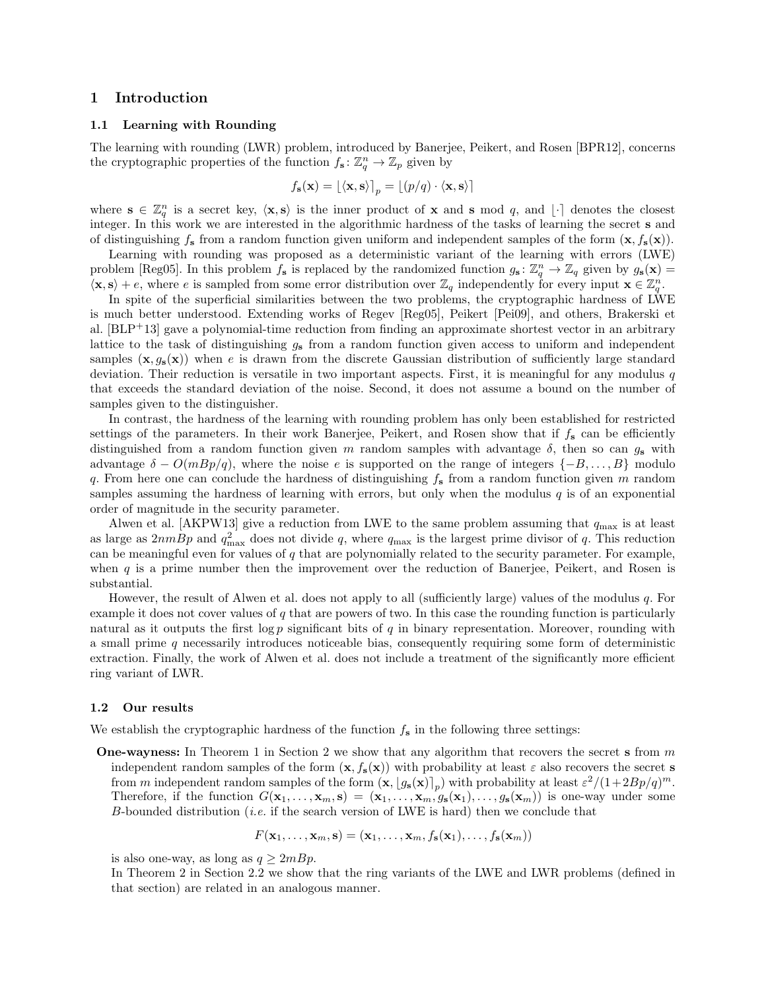# 1 Introduction

# 1.1 Learning with Rounding

The learning with rounding (LWR) problem, introduced by Banerjee, Peikert, and Rosen [BPR12], concerns the cryptographic properties of the function  $f_s: \mathbb{Z}_q^n \to \mathbb{Z}_p$  given by

$$
f_{\mathbf{s}}(\mathbf{x}) = \lfloor \langle \mathbf{x}, \mathbf{s} \rangle \rfloor_p = \lfloor (p/q) \cdot \langle \mathbf{x}, \mathbf{s} \rangle \rfloor
$$

where  $\mathbf{s} \in \mathbb{Z}_q^n$  is a secret key,  $\langle \mathbf{x}, \mathbf{s} \rangle$  is the inner product of x and s mod q, and  $\lfloor \cdot \rfloor$  denotes the closest integer. In this work we are interested in the algorithmic hardness of the tasks of learning the secret s and of distinguishing  $f_s$  from a random function given uniform and independent samples of the form  $(\mathbf{x}, f_s(\mathbf{x}))$ .

Learning with rounding was proposed as a deterministic variant of the learning with errors (LWE) problem [Reg05]. In this problem  $f_s$  is replaced by the randomized function  $g_s \colon \mathbb{Z}_q^n \to \mathbb{Z}_q$  given by  $g_s(\mathbf{x}) =$  $\langle \mathbf{x}, \mathbf{s} \rangle + e$ , where e is sampled from some error distribution over  $\mathbb{Z}_q$  independently for every input  $\mathbf{x} \in \mathbb{Z}_q^n$ .

In spite of the superficial similarities between the two problems, the cryptographic hardness of LWE is much better understood. Extending works of Regev [Reg05], Peikert [Pei09], and others, Brakerski et al. [BLP+13] gave a polynomial-time reduction from finding an approximate shortest vector in an arbitrary lattice to the task of distinguishing  $g_s$  from a random function given access to uniform and independent samples  $(x, q_s(x))$  when e is drawn from the discrete Gaussian distribution of sufficiently large standard deviation. Their reduction is versatile in two important aspects. First, it is meaningful for any modulus  $q$ that exceeds the standard deviation of the noise. Second, it does not assume a bound on the number of samples given to the distinguisher.

In contrast, the hardness of the learning with rounding problem has only been established for restricted settings of the parameters. In their work Banerjee, Peikert, and Rosen show that if  $f_s$  can be efficiently distinguished from a random function given m random samples with advantage  $\delta$ , then so can  $g_s$  with advantage  $\delta - O(mBp/q)$ , where the noise e is supported on the range of integers  $\{-B, \ldots, B\}$  modulo q. From here one can conclude the hardness of distinguishing  $f_s$  from a random function given m random samples assuming the hardness of learning with errors, but only when the modulus  $q$  is of an exponential order of magnitude in the security parameter.

Alwen et al. [AKPW13] give a reduction from LWE to the same problem assuming that  $q_{\text{max}}$  is at least as large as  $2nmBp$  and  $q_{\text{max}}^2$  does not divide q, where  $q_{\text{max}}$  is the largest prime divisor of q. This reduction can be meaningful even for values of  $q$  that are polynomially related to the security parameter. For example, when  $q$  is a prime number then the improvement over the reduction of Banerjee, Peikert, and Rosen is substantial.

However, the result of Alwen et al. does not apply to all (sufficiently large) values of the modulus  $q$ . For example it does not cover values of q that are powers of two. In this case the rounding function is particularly natural as it outputs the first  $\log p$  significant bits of q in binary representation. Moreover, rounding with a small prime q necessarily introduces noticeable bias, consequently requiring some form of deterministic extraction. Finally, the work of Alwen et al. does not include a treatment of the significantly more efficient ring variant of LWR.

#### 1.2 Our results

We establish the cryptographic hardness of the function  $f_s$  in the following three settings:

**One-wayness:** In Theorem 1 in Section 2 we show that any algorithm that recovers the secret s from  $m$ independent random samples of the form  $(\mathbf{x}, f_s(\mathbf{x}))$  with probability at least  $\varepsilon$  also recovers the secret s from m independent random samples of the form  $(\mathbf{x}, [g_{s}(\mathbf{x})]_{p})$  with probability at least  $\varepsilon^{2}/(1+2Bp/q)^{m}$ . Therefore, if the function  $G(\mathbf{x}_1,\ldots,\mathbf{x}_m,\mathbf{s}) = (\mathbf{x}_1,\ldots,\mathbf{x}_m,g_{\mathbf{s}}(\mathbf{x}_1),\ldots,g_{\mathbf{s}}(\mathbf{x}_m))$  is one-way under some B-bounded distribution (*i.e.* if the search version of LWE is hard) then we conclude that

$$
F(\mathbf{x}_1,\ldots,\mathbf{x}_m,\mathbf{s})=(\mathbf{x}_1,\ldots,\mathbf{x}_m,f_{\mathbf{s}}(\mathbf{x}_1),\ldots,f_{\mathbf{s}}(\mathbf{x}_m))
$$

is also one-way, as long as  $q \geq 2mBp$ .

In Theorem 2 in Section 2.2 we show that the ring variants of the LWE and LWR problems (defined in that section) are related in an analogous manner.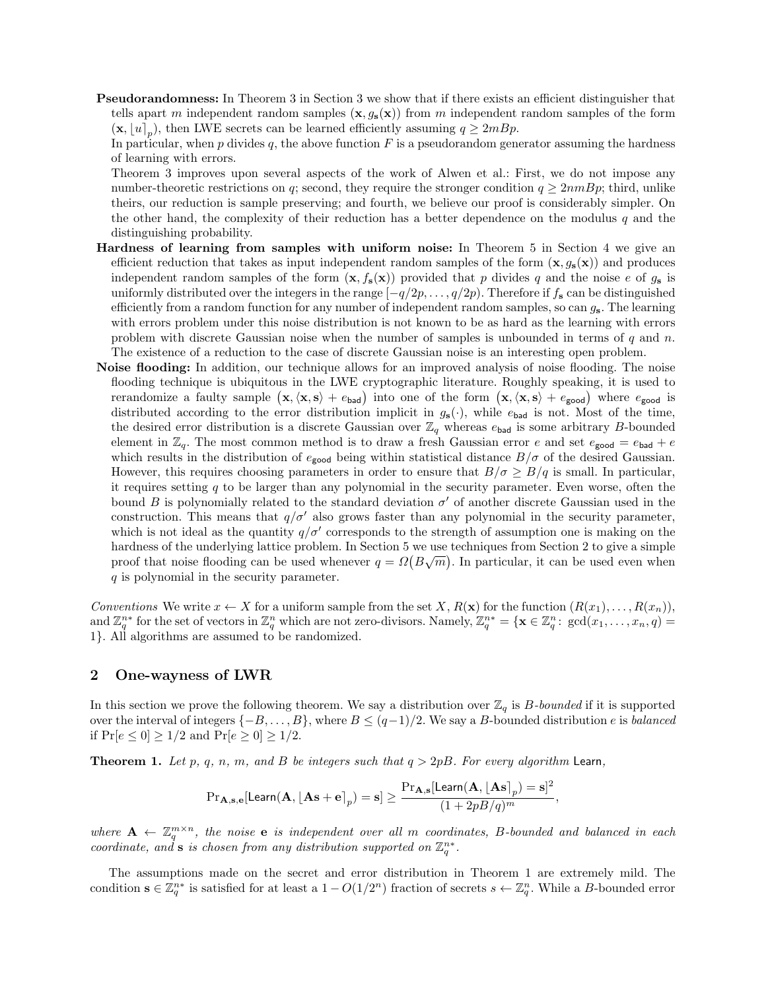Pseudorandomness: In Theorem 3 in Section 3 we show that if there exists an efficient distinguisher that tells apart m independent random samples  $(x, g_s(x))$  from m independent random samples of the form  $(\mathbf{x}, [u]_p)$ , then LWE secrets can be learned efficiently assuming  $q \ge 2mBp$ .

In particular, when  $p$  divides  $q$ , the above function  $F$  is a pseudorandom generator assuming the hardness of learning with errors.

Theorem 3 improves upon several aspects of the work of Alwen et al.: First, we do not impose any number-theoretic restrictions on q; second, they require the stronger condition  $q \geq 2nmBp$ ; third, unlike theirs, our reduction is sample preserving; and fourth, we believe our proof is considerably simpler. On the other hand, the complexity of their reduction has a better dependence on the modulus  $q$  and the distinguishing probability.

- Hardness of learning from samples with uniform noise: In Theorem 5 in Section 4 we give an efficient reduction that takes as input independent random samples of the form  $(x, g_s(x))$  and produces independent random samples of the form  $(x, f_s(x))$  provided that p divides q and the noise e of  $g_s$  is uniformly distributed over the integers in the range  $[-q/2p, \ldots, q/2p)$ . Therefore if  $f_s$  can be distinguished efficiently from a random function for any number of independent random samples, so can  $g_s$ . The learning with errors problem under this noise distribution is not known to be as hard as the learning with errors problem with discrete Gaussian noise when the number of samples is unbounded in terms of  $q$  and  $n$ . The existence of a reduction to the case of discrete Gaussian noise is an interesting open problem.
- Noise flooding: In addition, our technique allows for an improved analysis of noise flooding. The noise flooding technique is ubiquitous in the LWE cryptographic literature. Roughly speaking, it is used to rerandomize a faulty sample  $(\mathbf{x}, \langle \mathbf{x}, \mathbf{s} \rangle + e_{bad})$  into one of the form  $(\mathbf{x}, \langle \mathbf{x}, \mathbf{s} \rangle + e_{good})$  where  $e_{good}$  is distributed according to the error distribution implicit in  $g_s(\cdot)$ , while  $e_{bad}$  is not. Most of the time, the desired error distribution is a discrete Gaussian over  $\mathbb{Z}_q$  whereas  $e_{bad}$  is some arbitrary B-bounded element in  $\mathbb{Z}_q$ . The most common method is to draw a fresh Gaussian error e and set  $e_{\text{good}} = e_{\text{bad}} + e$ which results in the distribution of  $e_{\text{good}}$  being within statistical distance  $B/\sigma$  of the desired Gaussian. However, this requires choosing parameters in order to ensure that  $B/\sigma \geq B/q$  is small. In particular, it requires setting  $q$  to be larger than any polynomial in the security parameter. Even worse, often the bound B is polynomially related to the standard deviation  $\sigma'$  of another discrete Gaussian used in the construction. This means that  $q/\sigma'$  also grows faster than any polynomial in the security parameter, which is not ideal as the quantity  $q/\sigma'$  corresponds to the strength of assumption one is making on the hardness of the underlying lattice problem. In Section 5 we use techniques from Section 2 to give a simple proof that noise flooding can be used whenever  $q = \Omega(B\sqrt{m})$ . In particular, it can be used even when q is polynomial in the security parameter.

Conventions We write  $x \leftarrow X$  for a uniform sample from the set  $X, R(\mathbf{x})$  for the function  $(R(x_1), \ldots, R(x_n))$ , and  $\mathbb{Z}_q^{n*}$  for the set of vectors in  $\mathbb{Z}_q^n$  which are not zero-divisors. Namely,  $\mathbb{Z}_q^{n*} = {\mathbf{x} \in \mathbb{Z}_q^n : \gcd(x_1, \ldots, x_n, q) =$ 1}. All algorithms are assumed to be randomized.

## 2 One-wayness of LWR

In this section we prove the following theorem. We say a distribution over  $\mathbb{Z}_q$  is B-bounded if it is supported over the interval of integers  $\{-B, \ldots, B\}$ , where  $B \leq (q-1)/2$ . We say a B-bounded distribution e is balanced if  $Pr[e \le 0] \ge 1/2$  and  $Pr[e \ge 0] \ge 1/2$ .

**Theorem 1.** Let p, q, n, m, and B be integers such that  $q > 2pB$ . For every algorithm Learn,

$$
\text{Pr}_{\mathbf{A},\mathbf{s},\mathbf{e}}[\mathsf{Learn}(\mathbf{A},\lfloor\mathbf{A}\mathbf{s}+\mathbf{e}\rceil_p)=\mathbf{s}]\geq \frac{\text{Pr}_{\mathbf{A},\mathbf{s}}[\mathsf{Learn}(\mathbf{A},\lfloor\mathbf{A}\mathbf{s}\rceil_p)=\mathbf{s}]^2}{(1+2pB/q)^m},
$$

where  $A \leftarrow \mathbb{Z}_q^{m \times n}$ , the noise e is independent over all m coordinates, B-bounded and balanced in each coordinate, and s is chosen from any distribution supported on  $\mathbb{Z}_q^{n*}$ .

The assumptions made on the secret and error distribution in Theorem 1 are extremely mild. The condition  $\mathbf{s} \in \mathbb{Z}_q^{n*}$  is satisfied for at least a  $1 - O(1/2^n)$  fraction of secrets  $s \leftarrow \mathbb{Z}_q^n$ . While a B-bounded error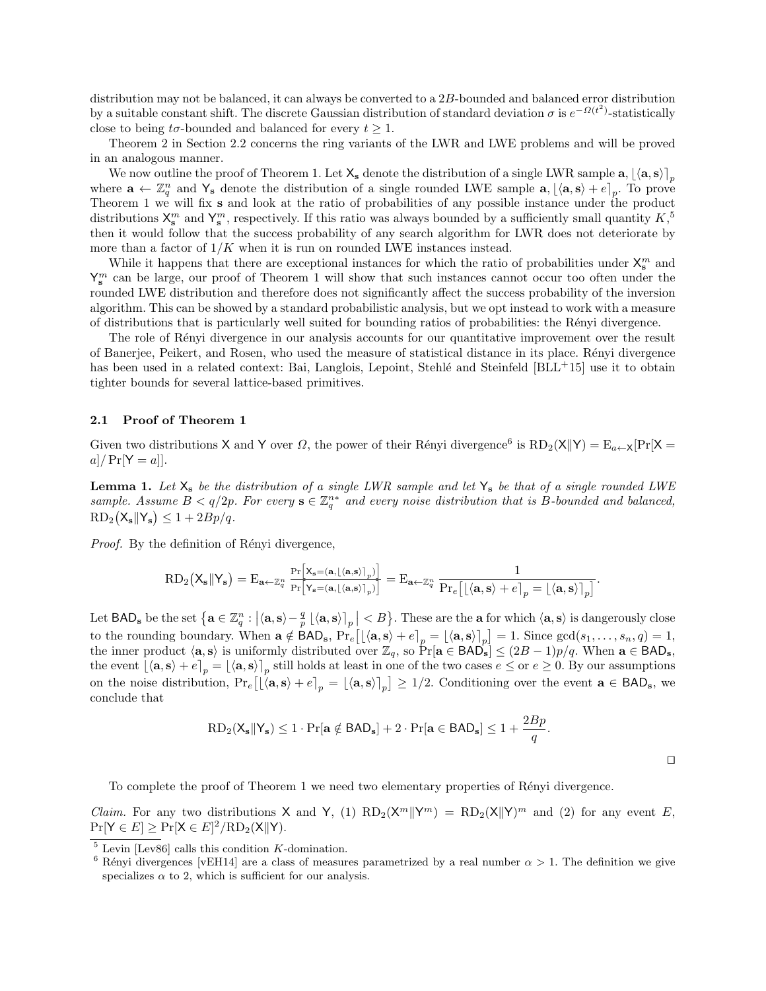distribution may not be balanced, it can always be converted to a  $2B$ -bounded and balanced error distribution by a suitable constant shift. The discrete Gaussian distribution of standard deviation  $\sigma$  is  $e^{-\Omega(t^2)}$ -statistically close to being  $t\sigma$ -bounded and balanced for every  $t \geq 1$ .

Theorem 2 in Section 2.2 concerns the ring variants of the LWR and LWE problems and will be proved in an analogous manner.

We now outline the proof of Theorem 1. Let  $X_s$  denote the distribution of a single LWR sample  $a, [\langle a, s \rangle]_p$ where  $\mathbf{a} \leftarrow \mathbb{Z}_q^n$  and  $\mathsf{Y}_s$  denote the distribution of a single rounded LWE sample  $\mathbf{a}, \lfloor \langle \mathbf{a}, \mathbf{s} \rangle + e \rfloor_p$ . To prove Theorem 1 we will fix s and look at the ratio of probabilities of any possible instance under the product distributions  $X^m_s$  and  $Y^m_s$ , respectively. If this ratio was always bounded by a sufficiently small quantity  $K$ <sup>5</sup>, then it would follow that the success probability of any search algorithm for LWR does not deteriorate by more than a factor of  $1/K$  when it is run on rounded LWE instances instead.

While it happens that there are exceptional instances for which the ratio of probabilities under  $\mathsf{X}_{s}^{m}$  and  $Y_{s}^{m}$  can be large, our proof of Theorem 1 will show that such instances cannot occur too often under the rounded LWE distribution and therefore does not significantly affect the success probability of the inversion algorithm. This can be showed by a standard probabilistic analysis, but we opt instead to work with a measure of distributions that is particularly well suited for bounding ratios of probabilities: the R´enyi divergence.

The role of Rényi divergence in our analysis accounts for our quantitative improvement over the result of Banerjee, Peikert, and Rosen, who used the measure of statistical distance in its place. R´enyi divergence has been used in a related context: Bai, Langlois, Lepoint, Stehlé and Steinfeld [BLL+15] use it to obtain tighter bounds for several lattice-based primitives.

### 2.1 Proof of Theorem 1

Given two distributions X and Y over  $\Omega$ , the power of their Rényi divergence<sup>6</sup> is  $RD_2(X||Y) = E_{a\leftarrow X}[Pr[X =$  $a]/\Pr[Y = a]$ .

**Lemma 1.** Let  $X_s$  be the distribution of a single LWR sample and let  $Y_s$  be that of a single rounded LWE sample. Assume  $B < q/2p$ . For every  $s \in \mathbb{Z}_q^{n*}$  and every noise distribution that is B-bounded and balanced,  $RD_2(X_s||Y_s) \leq 1 + 2Bp/q.$ 

Proof. By the definition of Rényi divergence,

$$
\textmd{RD}_2\big({\sf X}_{\bf s}\big\|{\sf Y}_{\bf s}\big)=\textmd{E}_{{\bf a}\leftarrow\mathbb{Z}_q^n}\frac{\Pr\big[{\sf X}_{\bf s}=\left({\bf a},\left\lfloor\langle{\bf a},{\bf s}\rangle\right\rceil_p\right)\big]}{\Pr\big[{\sf Y}_{\bf s}=\left({\bf a},\left\lfloor\langle{\bf a},{\bf s}\rangle\right\rceil_p\right)\big] }=\textmd{E}_{{\bf a}\leftarrow\mathbb{Z}_q^n}\,\frac{1}{\Pr_e\big[\big[\langle{\bf a},{\bf s}\rangle+e\big]_p=\big[\langle{\bf a},{\bf s}\rangle\big]_p\big]}.
$$

Let  $\textsf{BAD}_s$  be the set  $\left\{ \mathbf{a}\in\mathbb{Z}_q^n: \left|\langle\mathbf{a},\mathbf{s}\rangle-\frac{q}{p}\left\lfloor \langle\mathbf{a},\mathbf{s}\rangle\right\rceil_p\right|\leq B\right\}$ . These are the **a** for which  $\langle\mathbf{a},\mathbf{s}\rangle$  is dangerously close to the rounding boundary. When  $\mathbf{a} \notin \textsf{BAD}_{\mathbf{s}}, \Pr_e\big[\big[\langle \mathbf{a}, \mathbf{s} \rangle + e\big]_p = \big[\langle \mathbf{a}, \mathbf{s} \rangle\big]_p\big] = 1$ . Since  $\gcd(s_1, \ldots, s_n, q) = 1$ , the inner product  $\langle \mathbf{a}, \mathbf{s} \rangle$  is uniformly distributed over  $\mathbb{Z}_q$ , so  $\Pr[\mathbf{a} \in \text{BAD}_\mathbf{s}] \leq (2B-1)p/q$ . When  $\mathbf{a} \in \text{BAD}_\mathbf{s}$ , the event  $\lfloor \langle \mathbf{a}, \mathbf{s} \rangle + e \rfloor_p = \lfloor \langle \mathbf{a}, \mathbf{s} \rangle \rfloor_p$  still holds at least in one of the two cases  $e \leq$  or  $e \geq 0$ . By our assumptions on the noise distribution,  $Pr_e [ [\langle a, s \rangle + e]_p = [\langle a, s \rangle]_p ] \ge 1/2$ . Conditioning over the event  $a \in BAD_s$ , we conclude that

$$
RD_2(\mathsf{X}_s||\mathsf{Y}_s) \le 1 \cdot Pr[\mathbf{a} \notin BAD_s] + 2 \cdot Pr[\mathbf{a} \in BAD_s] \le 1 + \frac{2Bp}{q}.
$$

 $\Box$ 

To complete the proof of Theorem 1 we need two elementary properties of Rényi divergence.

*Claim.* For any two distributions X and Y, (1)  $RD_2(X^m||Y^m) = RD_2(X||Y)^m$  and (2) for any event E,  $Pr[Y \in E] \ge Pr[X \in E]^2 / RD_2(X || Y).$ 

 $5$  Levin [Lev86] calls this condition K-domination.

<sup>&</sup>lt;sup>6</sup> Rényi divergences [vEH14] are a class of measures parametrized by a real number  $\alpha > 1$ . The definition we give specializes  $\alpha$  to 2, which is sufficient for our analysis.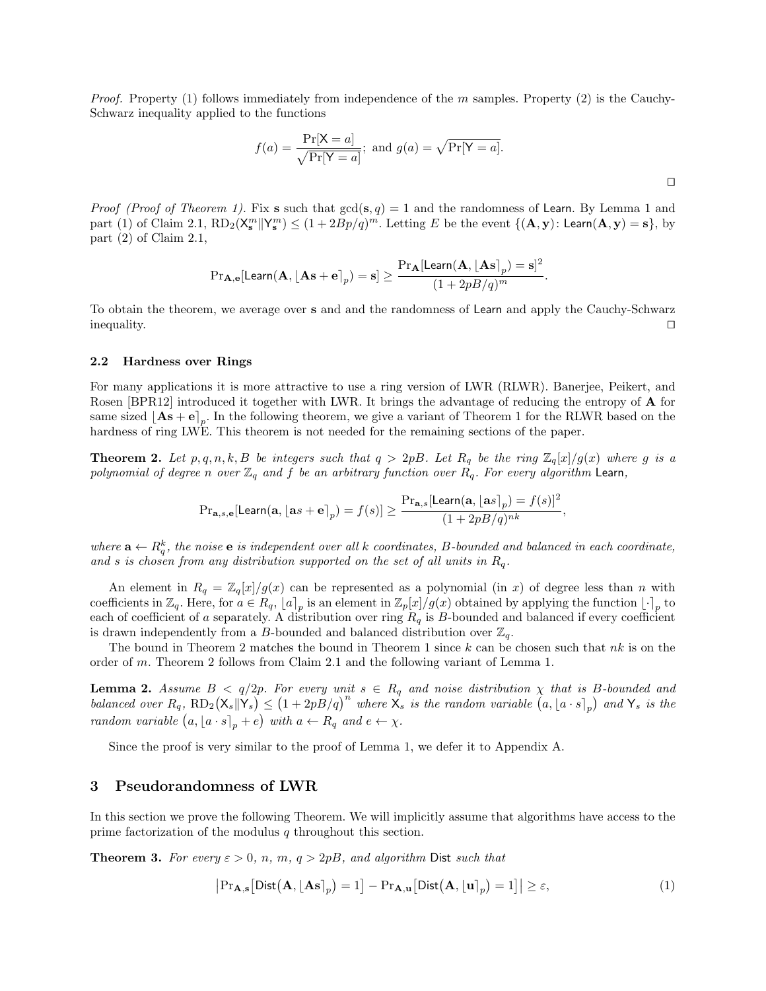*Proof.* Property (1) follows immediately from independence of the m samples. Property (2) is the Cauchy-Schwarz inequality applied to the functions

$$
f(a) = \frac{\Pr[X = a]}{\sqrt{\Pr[Y = a]}}; \text{ and } g(a) = \sqrt{\Pr[Y = a]}.
$$

*Proof (Proof of Theorem 1).* Fix s such that  $gcd(s, q) = 1$  and the randomness of Learn. By Lemma 1 and part (1) of Claim 2.1,  $RD_2(X_s^m||Y_s^m) \leq (1 + 2Bp/q)^m$ . Letting E be the event  $\{(\mathbf{A}, \mathbf{y}) : \mathsf{Learn}(\mathbf{A}, \mathbf{y}) = \mathbf{s}\}$ , by part (2) of Claim 2.1,

$$
\mathrm{Pr}_{\mathbf{A},\mathbf{e}}[\mathsf{Learn}(\mathbf{A},\lfloor\mathbf{A}\mathbf{s}+\mathbf{e}\rceil_p)=\mathbf{s}]\geq \frac{\mathrm{Pr}_{\mathbf{A}}[\mathsf{Learn}(\mathbf{A},\lfloor\mathbf{A}\mathbf{s}\rceil_p)=\mathbf{s}]^2}{(1+2pB/q)^m}.
$$

To obtain the theorem, we average over s and and the randomness of Learn and apply the Cauchy-Schwarz  $\Box$ 

#### 2.2 Hardness over Rings

For many applications it is more attractive to use a ring version of LWR (RLWR). Banerjee, Peikert, and Rosen [BPR12] introduced it together with LWR. It brings the advantage of reducing the entropy of A for same sized  $[As + e]_p$ . In the following theorem, we give a variant of Theorem 1 for the RLWR based on the hardness of ring LWE. This theorem is not needed for the remaining sections of the paper.

**Theorem 2.** Let  $p, q, n, k, B$  be integers such that  $q > 2pB$ . Let  $R_q$  be the ring  $\mathbb{Z}_q[x]/g(x)$  where g is a polynomial of degree n over  $\mathbb{Z}_q$  and f be an arbitrary function over  $R_q$ . For every algorithm Learn,

$$
{\Pr}_{\mathbf{a},s,\mathbf{e}}[\mathsf{Learn}(\mathbf{a},\lfloor \mathbf{a} s+\mathbf{e} \rceil_p)=f(s)] \geq \frac{{\Pr}_{\mathbf{a},s}[\mathsf{Learn}(\mathbf{a},\lfloor \mathbf{a} s \rceil_p)=f(s)]^2}{(1+2pB/q)^{nk}},
$$

where  $\mathbf{a} \leftarrow R_q^k$ , the noise  $\mathbf{e}$  is independent over all k coordinates, B-bounded and balanced in each coordinate, and s is chosen from any distribution supported on the set of all units in  $R_q$ .

An element in  $R_q = \mathbb{Z}_q[x]/g(x)$  can be represented as a polynomial (in x) of degree less than n with coefficients in  $\mathbb{Z}_q$ . Here, for  $a \in R_q$ ,  $[a]_p$  is an element in  $\mathbb{Z}_p[x]/g(x)$  obtained by applying the function  $\lfloor \cdot \rceil_p$  to each of coefficient of a separately. A distribution over ring  $R_q$  is B-bounded and balanced if every coefficient is drawn independently from a B-bounded and balanced distribution over  $\mathbb{Z}_q$ .

The bound in Theorem 2 matches the bound in Theorem 1 since  $k$  can be chosen such that  $nk$  is on the order of m. Theorem 2 follows from Claim 2.1 and the following variant of Lemma 1.

**Lemma 2.** Assume  $B < q/2p$ . For every unit  $s \in R_q$  and noise distribution  $\chi$  that is B-bounded and balanced over  $R_q$ ,  $RD_2(X_s||\overset{\leftrightarrow}{Y}_s) \leq (1+2p\overset{\leftrightarrow}{B}/q)^n$  where  $X_s$  is the random variable  $(a, [a \cdot s]_p)$  and  $Y_s$  is the random variable  $(a, [a \cdot s]_p + e)$  with  $a \leftarrow R_q$  and  $e \leftarrow \chi$ .

Since the proof is very similar to the proof of Lemma 1, we defer it to Appendix A.

# 3 Pseudorandomness of LWR

In this section we prove the following Theorem. We will implicitly assume that algorithms have access to the prime factorization of the modulus  $q$  throughout this section.

**Theorem 3.** For every  $\varepsilon > 0$ , n, m,  $q > 2pB$ , and algorithm Dist such that

$$
\left|\Pr_{\mathbf{A},\mathbf{s}}\left[\text{Dist}(\mathbf{A}, \left\lfloor \mathbf{A}\mathbf{s} \right\rfloor_p) = 1\right] - \Pr_{\mathbf{A},\mathbf{u}}\left[\text{Dist}(\mathbf{A}, \left\lfloor \mathbf{u} \right\rfloor_p) = 1\right]\right| \geq \varepsilon,\tag{1}
$$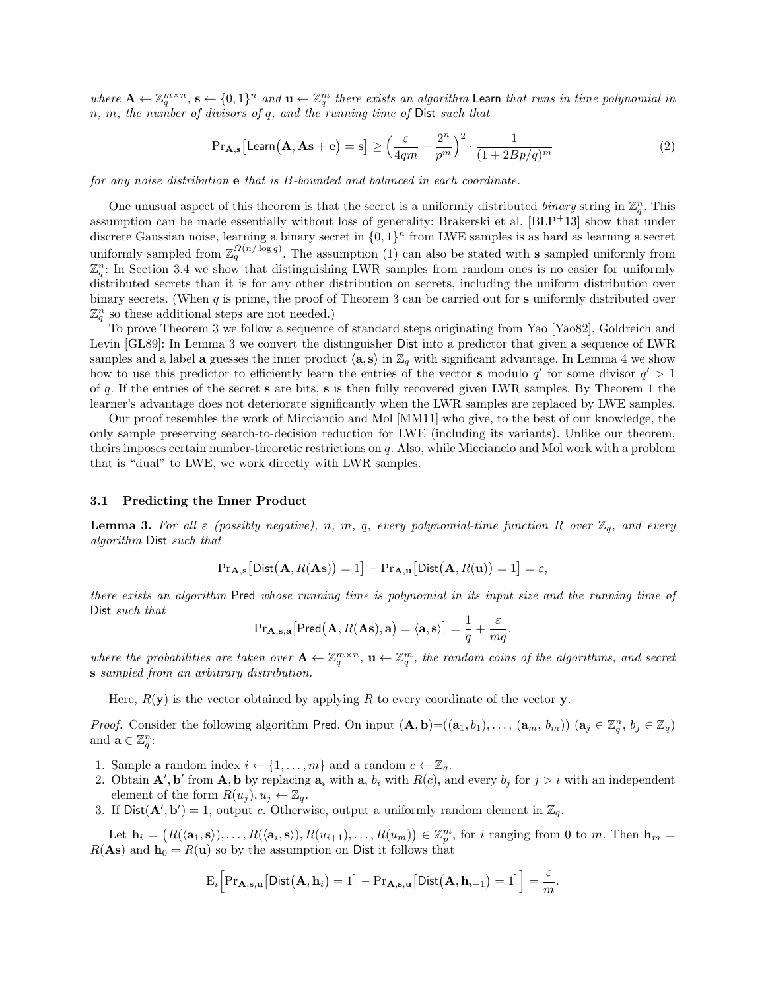where  $\mathbf{A} \leftarrow \mathbb{Z}_q^{m \times n}$ ,  $\mathbf{s} \leftarrow \{0,1\}^n$  and  $\mathbf{u} \leftarrow \mathbb{Z}_q^m$  there exists an algorithm Learn that runs in time polynomial in n, m, the number of divisors of q, and the running time of Dist such that

$$
\Pr_{\mathbf{A}, \mathbf{s}} \left[ \mathsf{Learn}(\mathbf{A}, \mathbf{A}\mathbf{s} + \mathbf{e}) = \mathbf{s} \right] \ge \left( \frac{\varepsilon}{4qm} - \frac{2^n}{p^m} \right)^2 \cdot \frac{1}{(1 + 2Bp/q)^m} \tag{2}
$$

for any noise distribution e that is B-bounded and balanced in each coordinate.

One unusual aspect of this theorem is that the secret is a uniformly distributed *binary* string in  $\mathbb{Z}_q^n$ . This assumption can be made essentially without loss of generality: Brakerski et al. [BLP+13] show that under discrete Gaussian noise, learning a binary secret in  $\{0,1\}^n$  from LWE samples is as hard as learning a secret uniformly sampled from  $\mathbb{Z}_q^{\Omega(n/\log q)}$ . The assumption (1) can also be stated with **s** sampled uniformly from  $\mathbb{Z}_q^n$ : In Section 3.4 we show that distinguishing LWR samples from random ones is no easier for uniformly distributed secrets than it is for any other distribution on secrets, including the uniform distribution over binary secrets. (When  $q$  is prime, the proof of Theorem 3 can be carried out for s uniformly distributed over  $\mathbb{Z}_q^n$  so these additional steps are not needed.)

To prove Theorem 3 we follow a sequence of standard steps originating from Yao [Yao82], Goldreich and Levin [GL89]: In Lemma 3 we convert the distinguisher Dist into a predictor that given a sequence of LWR samples and a label **a** guesses the inner product  $\langle \mathbf{a}, \mathbf{s} \rangle$  in  $\mathbb{Z}_q$  with significant advantage. In Lemma 4 we show how to use this predictor to efficiently learn the entries of the vector **s** modulo  $q'$  for some divisor  $q' > 1$ of q. If the entries of the secret s are bits, s is then fully recovered given LWR samples. By Theorem 1 the learner's advantage does not deteriorate significantly when the LWR samples are replaced by LWE samples.

Our proof resembles the work of Micciancio and Mol [MM11] who give, to the best of our knowledge, the only sample preserving search-to-decision reduction for LWE (including its variants). Unlike our theorem, theirs imposes certain number-theoretic restrictions on q. Also, while Micciancio and Mol work with a problem that is "dual" to LWE, we work directly with LWR samples.

#### 3.1 Predicting the Inner Product

**Lemma 3.** For all  $\varepsilon$  (possibly negative), n, m, q, every polynomial-time function R over  $\mathbb{Z}_q$ , and every algorithm Dist such that

$$
\mathrm{Pr}_{\mathbf{A},\mathbf{s}}\big[\mathsf{Dist}\big(\mathbf{A}, R(\mathbf{A}\mathbf{s})\big) = 1\big] - \mathrm{Pr}_{\mathbf{A},\mathbf{u}}\big[\mathsf{Dist}\big(\mathbf{A}, R(\mathbf{u})\big) = 1\big] = \varepsilon,
$$

there exists an algorithm Pred whose running time is polynomial in its input size and the running time of Dist such that

$$
\mathrm{Pr}_{\mathbf{A},\mathbf{s},\mathbf{a}}\big[\mathsf{Pred}\big(\mathbf{A},R(\mathbf{A}\mathbf{s}),\mathbf{a}\big) = \langle \mathbf{a},\mathbf{s} \rangle\big] = \frac{1}{q} + \frac{\varepsilon}{mq}.
$$

where the probabilities are taken over  $\mathbf{A} \leftarrow \mathbb{Z}_q^{m \times n}$ ,  $\mathbf{u} \leftarrow \mathbb{Z}_q^m$ , the random coins of the algorithms, and secret s sampled from an arbitrary distribution.

Here,  $R(\mathbf{y})$  is the vector obtained by applying R to every coordinate of the vector y.

*Proof.* Consider the following algorithm Pred. On input  $(\mathbf{A}, \mathbf{b}) = ((\mathbf{a}_1, b_1), \dots, (\mathbf{a}_m, b_m))$   $(\mathbf{a}_j \in \mathbb{Z}_q^n, b_j \in \mathbb{Z}_q)$ and  $\mathbf{a} \in \mathbb{Z}_q^n$ :

- 1. Sample a random index  $i \leftarrow \{1, \ldots, m\}$  and a random  $c \leftarrow \mathbb{Z}_q$ .
- 2. Obtain  $\mathbf{A}'$ ,  $\mathbf{b}'$  from  $\mathbf{A}$ ,  $\mathbf{b}$  by replacing  $\mathbf{a}_i$  with  $\mathbf{a}, b_i$  with  $R(c)$ , and every  $b_j$  for  $j > i$  with an independent element of the form  $R(u_i)$ ,  $u_i \leftarrow \mathbb{Z}_q$ .
- 3. If  $Dist(A', b') = 1$ , output c. Otherwise, output a uniformly random element in  $\mathbb{Z}_q$ .

Let  $\mathbf{h}_i = (R(\langle \mathbf{a}_1, \mathbf{s} \rangle), \ldots, R(\langle \mathbf{a}_i, \mathbf{s} \rangle), R(u_{i+1}), \ldots, R(u_m)) \in \mathbb{Z}_p^m$ , for i ranging from 0 to m. Then  $\mathbf{h}_m =$  $R(\text{As})$  and  $\textbf{h}_0 = R(\textbf{u})$  so by the assumption on Dist it follows that

$$
E_i\Big[Pr_{\mathbf{A},\mathbf{s},\mathbf{u}}\big[\mathsf{Dist}\big(\mathbf{A},\mathbf{h}_i\big)=1\big]-Pr_{\mathbf{A},\mathbf{s},\mathbf{u}}\big[\mathsf{Dist}\big(\mathbf{A},\mathbf{h}_{i-1}\big)=1\big]\Big]=\frac{\varepsilon}{m}
$$

.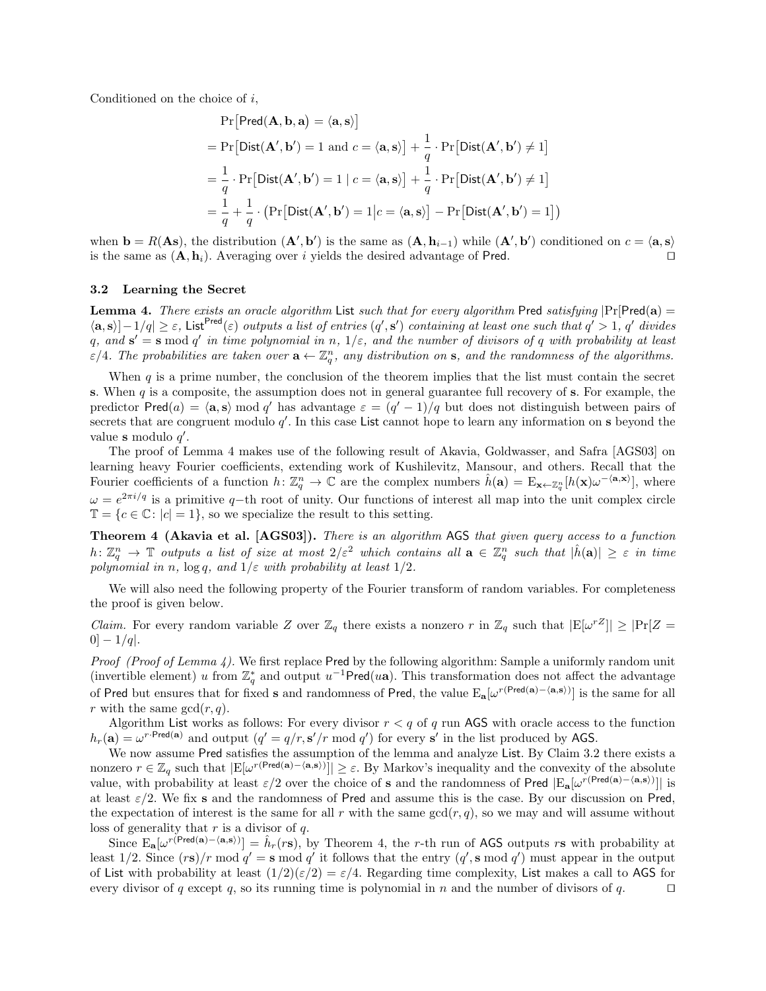Conditioned on the choice of i,

$$
\Pr[\text{Pred}(\mathbf{A}, \mathbf{b}, \mathbf{a}) = \langle \mathbf{a}, \mathbf{s} \rangle]
$$
\n
$$
= \Pr[\text{Dist}(\mathbf{A}', \mathbf{b}') = 1 \text{ and } c = \langle \mathbf{a}, \mathbf{s} \rangle] + \frac{1}{q} \cdot \Pr[\text{Dist}(\mathbf{A}', \mathbf{b}') \neq 1]
$$
\n
$$
= \frac{1}{q} \cdot \Pr[\text{Dist}(\mathbf{A}', \mathbf{b}') = 1 \mid c = \langle \mathbf{a}, \mathbf{s} \rangle] + \frac{1}{q} \cdot \Pr[\text{Dist}(\mathbf{A}', \mathbf{b}') \neq 1]
$$
\n
$$
= \frac{1}{q} + \frac{1}{q} \cdot (\Pr[\text{Dist}(\mathbf{A}', \mathbf{b}') = 1 | c = \langle \mathbf{a}, \mathbf{s} \rangle] - \Pr[\text{Dist}(\mathbf{A}', \mathbf{b}') = 1])
$$

when  $\mathbf{b} = R(\mathbf{As})$ , the distribution  $(\mathbf{A}', \mathbf{b}')$  is the same as  $(\mathbf{A}, \mathbf{h}_{i-1})$  while  $(\mathbf{A}', \mathbf{b}')$  conditioned on  $c = \langle \mathbf{a}, \mathbf{s} \rangle$ is the same as  $(A, h_i)$ . Averaging over i yields the desired advantage of Pred.  $\Box$ 

#### 3.2 Learning the Secret

Lemma 4. There exists an oracle algorithm List such that for every algorithm Pred satisfying  $|Pr[Pred(a) =$  $\langle \mathbf{a}, \mathbf{s} \rangle$ |-1/q|  $\geq \varepsilon$ , List<sup>Pred</sup>( $\varepsilon$ ) *outputs a list of entries*  $(q', s')$  *containing at least one such that*  $q' > 1$ , q' divides q, and  $\mathbf{s}' = \mathbf{s} \mod q'$  in time polynomial in n,  $1/\varepsilon$ , and the number of divisors of q with probability at least  $\varepsilon/4$ . The probabilities are taken over  $\mathbf{a} \leftarrow \mathbb{Z}_q^n$ , any distribution on s, and the randomness of the algorithms.

When  $q$  is a prime number, the conclusion of the theorem implies that the list must contain the secret s. When  $q$  is a composite, the assumption does not in general guarantee full recovery of s. For example, the predictor Pred(a) =  $\langle \mathbf{a}, \mathbf{s} \rangle$  mod q' has advantage  $\varepsilon = (q' - 1)/q$  but does not distinguish between pairs of secrets that are congruent modulo  $q'$ . In this case List cannot hope to learn any information on s beyond the value s modulo  $q'$ .

The proof of Lemma 4 makes use of the following result of Akavia, Goldwasser, and Safra [AGS03] on learning heavy Fourier coefficients, extending work of Kushilevitz, Mansour, and others. Recall that the Fourier coefficients of a function  $h: \mathbb{Z}_q^n \to \mathbb{C}$  are the complex numbers  $\hat{h}(\mathbf{a}) = \mathrm{E}_{\mathbf{x} \leftarrow \mathbb{Z}_q^n} [h(\mathbf{x}) \omega^{-\langle \mathbf{a}, \mathbf{x} \rangle}],$  where  $\omega = e^{2\pi i/q}$  is a primitive q-th root of unity. Our functions of interest all map into the unit complex circle  $\mathbb{T} = \{c \in \mathbb{C} : |c| = 1\}$ , so we specialize the result to this setting.

Theorem 4 (Akavia et al. [AGS03]). There is an algorithm AGS that given query access to a function  $h\colon\mathbb{Z}_q^n\to\mathbb{T}$  outputs a list of size at most  $2/\varepsilon^2$  which contains all  $\mathbf{a}\in\mathbb{Z}_q^n$  such that  $|\hat{h}(\mathbf{a})|\geq\varepsilon$  in time polynomial in n,  $\log q$ , and  $1/\varepsilon$  with probability at least  $1/2$ .

We will also need the following property of the Fourier transform of random variables. For completeness the proof is given below.

*Claim.* For every random variable Z over  $\mathbb{Z}_q$  there exists a nonzero r in  $\mathbb{Z}_q$  such that  $|E[\omega^{rZ}]| \geq |Pr[Z =$  $[0] - 1/q$ .

Proof (Proof of Lemma 4). We first replace Pred by the following algorithm: Sample a uniformly random unit (invertible element) u from  $\mathbb{Z}_q^*$  and output  $u^{-1}Pred(u\mathbf{a})$ . This transformation does not affect the advantage of Pred but ensures that for fixed s and randomness of Pred, the value  $E_a[\omega^{r(Pred(a)-\langle a,s\rangle)}]$  is the same for all r with the same  $gcd(r, q)$ .

Algorithm List works as follows: For every divisor  $r < q$  of q run AGS with oracle access to the function  $h_r(\mathbf{a}) = \omega^{r\cdot \text{Pred}(\mathbf{a})}$  and output  $(q' = q/r, \mathbf{s}'/r \mod q')$  for every s' in the list produced by AGS.

We now assume Pred satisfies the assumption of the lemma and analyze List. By Claim 3.2 there exists a nonzero  $r \in \mathbb{Z}_q$  such that  $|E[\omega^{r(\text{Pred}(a)-\langle a,s\rangle)})] \geq \varepsilon$ . By Markov's inequality and the convexity of the absolute value, with probability at least  $\varepsilon/2$  over the choice of s and the randomness of Pred  $|E_{\bf a}[\omega^{r(Pred({\bf a})-\langle {\bf a},{\bf s}\rangle)}]|$  is at least  $\varepsilon/2$ . We fix s and the randomness of Pred and assume this is the case. By our discussion on Pred, the expectation of interest is the same for all r with the same  $gcd(r, q)$ , so we may and will assume without loss of generality that  $r$  is a divisor of  $q$ .

Since  $E_{a}[\omega^{r(Pred(a)-\langle a,s\rangle)}]=\hat{h}_{r}(rs)$ , by Theorem 4, the r-th run of AGS outputs rs with probability at least 1/2. Since  $(r\mathbf{s})/r \mod q' = \mathbf{s} \mod q'$  it follows that the entry  $(q', \mathbf{s} \mod q')$  must appear in the output of List with probability at least  $(1/2)(\epsilon/2) = \epsilon/4$ . Regarding time complexity, List makes a call to AGS for every divisor of q except q, so its running time is polynomial in n and the number of divisors of q.  $\Box$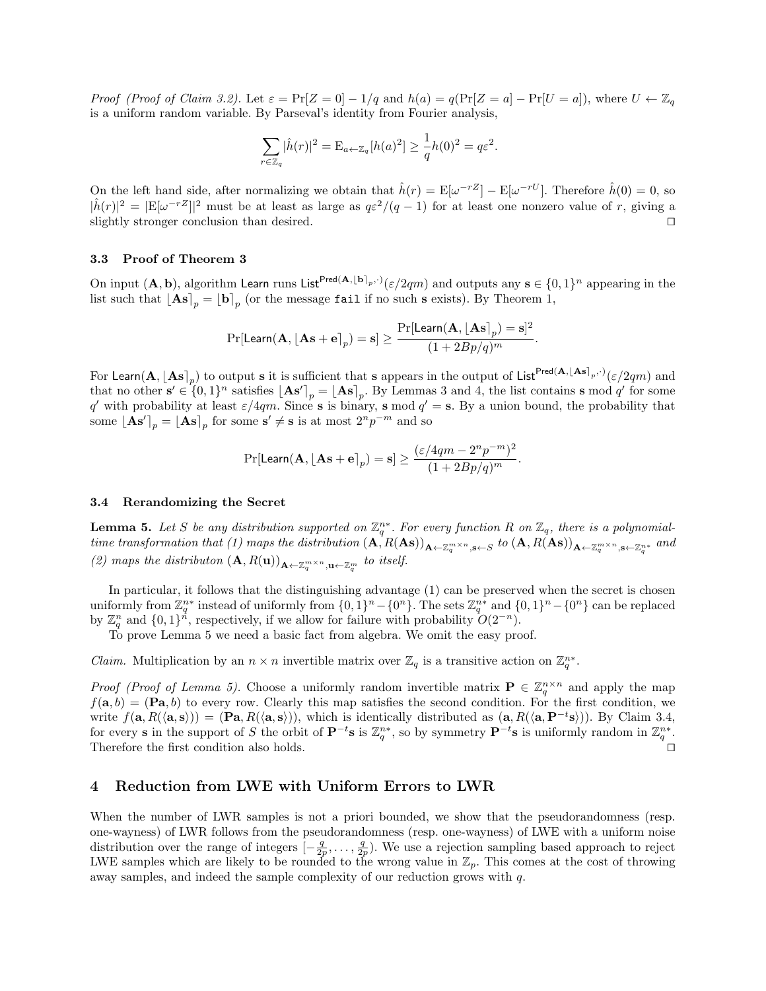*Proof (Proof of Claim 3.2).* Let  $\varepsilon = \Pr[Z = 0] - 1/q$  and  $h(a) = q(\Pr[Z = a] - \Pr[U = a])$ , where  $U \leftarrow \mathbb{Z}_q$ is a uniform random variable. By Parseval's identity from Fourier analysis,

$$
\sum_{r \in \mathbb{Z}_q} |\hat{h}(r)|^2 = \mathcal{E}_{a \leftarrow \mathbb{Z}_q} [h(a)^2] \ge \frac{1}{q} h(0)^2 = q \varepsilon^2.
$$

On the left hand side, after normalizing we obtain that  $\hat{h}(r) = \mathbb{E}[\omega^{-rZ}] - \mathbb{E}[\omega^{-rU}]$ . Therefore  $\hat{h}(0) = 0$ , so  $|\hat{h}(r)|^2 = |E[\omega^{-rZ}]|^2$  must be at least as large as  $q\varepsilon^2/(q-1)$  for at least one nonzero value of r, giving a slightly stronger conclusion than desired.

#### 3.3 Proof of Theorem 3

On input  $(\mathbf{A}, \mathbf{b})$ , algorithm Learn runs List<sup>Pred $(\mathbf{A}, \mathbf{b})_p$ , $\hat{\sigma}(z/2qm)$  and outputs any  $\mathbf{s} \in \{0,1\}^n$  appearing in the</sup> list such that  $\begin{bmatrix} \mathbf{As} \end{bmatrix}_p = \begin{bmatrix} \mathbf{b} \end{bmatrix}_p$  (or the message fail if no such s exists). By Theorem 1,

$$
\Pr[\mathsf{Learn}(\mathbf{A}, \lfloor \mathbf{As} + \mathbf{e} \rceil_p) = \mathbf{s}] \geq \frac{\Pr[\mathsf{Learn}(\mathbf{A}, \lfloor \mathbf{As} \rceil_p) = \mathbf{s}]^2}{(1 + 2Bp/q)^m}.
$$

For Learn $(A, [\textbf{As}]_p)$  to output s it is sufficient that s appears in the output of List $^{Pred(A, [\textbf{As}]_p, \cdot)}(\varepsilon/2qm)$  and that no other  $\mathbf{s}' \in \{0,1\}^n$  satisfies  $\lfloor \mathbf{As}' \rceil_p = \lfloor \mathbf{As} \rceil_p$ . By Lemmas 3 and 4, the list contains **s** mod q' for some q' with probability at least  $\varepsilon/4qm$ . Since s is binary, s mod  $q' = s$ . By a union bound, the probability that some  $\lfloor \mathbf{As'} \rceil_p = \lfloor \mathbf{As} \rceil_p$  for some  $\mathbf{s'} \neq \mathbf{s}$  is at most  $2^np^{-m}$  and so

$$
\Pr[\mathsf{Learn}(\mathbf{A}, \lfloor\mathbf{As}+\mathbf{e}\rceil_p)=\mathbf{s}]\geq \frac{(\varepsilon/4qm-2^np^{-m})^2}{(1+2Bp/q)^m}.
$$

#### 3.4 Rerandomizing the Secret

**Lemma 5.** Let S be any distribution supported on  $\mathbb{Z}_q^{n*}$ . For every function R on  $\mathbb{Z}_q$ , there is a polynomialtime transformation that (1) maps the distribution  $(A, R(As))_{A \leftarrow \mathbb{Z}_q^{m \times n}, s \leftarrow S}$  to  $(A, R(As))_{A \leftarrow \mathbb{Z}_q^{m \times n}, s \leftarrow \mathbb{Z}_q^{n *}}$  and (2) maps the distributon  $(\mathbf{A}, R(\mathbf{u}))_{\mathbf{A}\leftarrow \mathbb{Z}_q^{m \times n}, \mathbf{u}\leftarrow \mathbb{Z}_q^m}$  to itself.

In particular, it follows that the distinguishing advantage (1) can be preserved when the secret is chosen uniformly from  $\mathbb{Z}_q^{n*}$  instead of uniformly from  $\{0,1\}^n - \{0^n\}$ . The sets  $\mathbb{Z}_q^{n*}$  and  $\{0,1\}^n - \{0^n\}$  can be replaced by  $\mathbb{Z}_q^n$  and  $\{0,1\}^n$ , respectively, if we allow for failure with probability  $O(2^{-n})$ .

To prove Lemma 5 we need a basic fact from algebra. We omit the easy proof.

*Claim.* Multiplication by an  $n \times n$  invertible matrix over  $\mathbb{Z}_q$  is a transitive action on  $\mathbb{Z}_q^{n*}$ .

*Proof (Proof of Lemma 5)*. Choose a uniformly random invertible matrix  $P \in \mathbb{Z}_q^{n \times n}$  and apply the map  $f(\mathbf{a}, b) = (\mathbf{Pa}, b)$  to every row. Clearly this map satisfies the second condition. For the first condition, we write  $f(\mathbf{a}, R(\langle \mathbf{a}, \mathbf{s} \rangle)) = (\mathbf{Pa}, R(\langle \mathbf{a}, \mathbf{s} \rangle))$ , which is identically distributed as  $(\mathbf{a}, R(\langle \mathbf{a}, \mathbf{P}^{-t} \mathbf{s} \rangle))$ . By Claim 3.4, for every s in the support of S the orbit of  $\mathbf{P}^{-t}$ s is  $\mathbb{Z}_q^{n*}$ , so by symmetry  $\mathbf{P}^{-t}$ s is uniformly random in  $\mathbb{Z}_q^{n*}$ . Therefore the first condition also holds.  $\Box$ 

# 4 Reduction from LWE with Uniform Errors to LWR

When the number of LWR samples is not a priori bounded, we show that the pseudorandomness (resp. one-wayness) of LWR follows from the pseudorandomness (resp. one-wayness) of LWE with a uniform noise distribution over the range of integers  $\left[-\frac{q}{2p},\ldots,\frac{q}{2p}\right]$ . We use a rejection sampling based approach to reject LWE samples which are likely to be rounded to the wrong value in  $\mathbb{Z}_p$ . This comes at the cost of throwing away samples, and indeed the sample complexity of our reduction grows with q.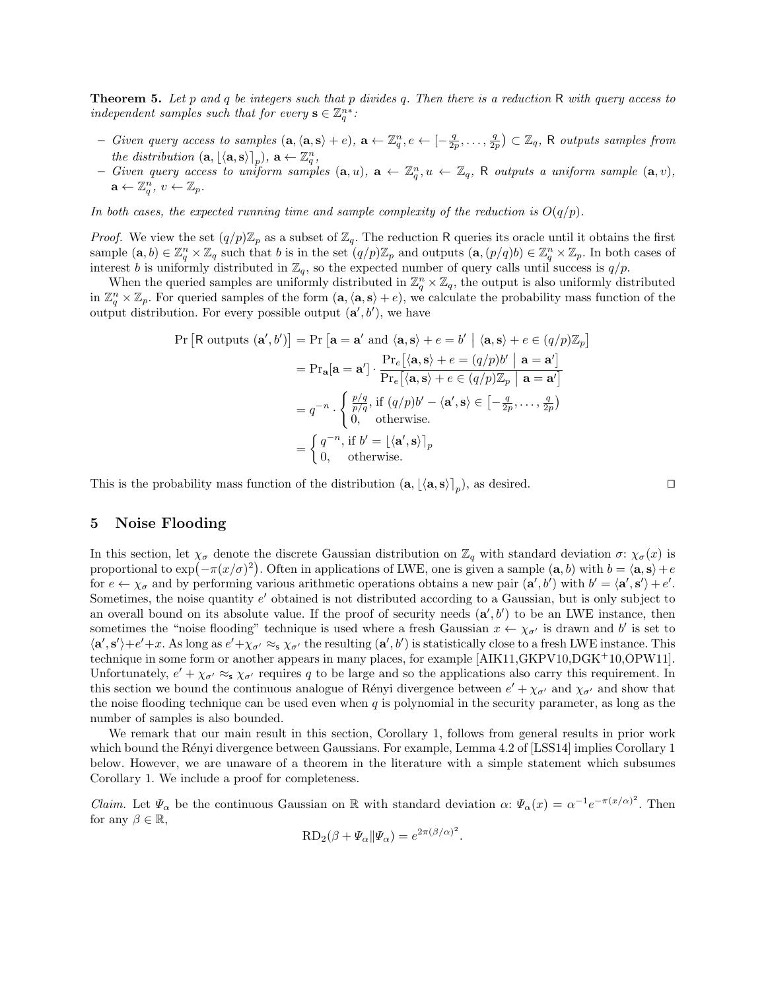**Theorem 5.** Let p and q be integers such that p divides q. Then there is a reduction R with query access to independent samples such that for every  $\mathbf{s} \in \mathbb{Z}_q^{n^*}$ .

- $-$  Given query access to samples  $(\mathbf{a}, \langle \mathbf{a}, \mathbf{s} \rangle + e)$ ,  $\mathbf{a} \leftarrow \mathbb{Z}_q^n, e \leftarrow [-\frac{q}{2p}, \ldots, \frac{q}{2p}) \subset \mathbb{Z}_q$ , R outputs samples from the distribution  $(\mathbf{a}, \lfloor \langle \mathbf{a}, \mathbf{s} \rangle \rfloor_p), \, \mathbf{a} \leftarrow \mathbb{Z}_q^n,$
- Given query access to uniform samples  $(a, u)$ ,  $a \leftarrow \mathbb{Z}_q^n, u \leftarrow \mathbb{Z}_q$ , R outputs a uniform sample  $(a, v)$ ,  $\mathbf{a} \leftarrow \mathbb{Z}_q^n, v \leftarrow \mathbb{Z}_p.$

In both cases, the expected running time and sample complexity of the reduction is  $O(q/p)$ .

*Proof.* We view the set  $(q/p)\mathbb{Z}_p$  as a subset of  $\mathbb{Z}_q$ . The reduction R queries its oracle until it obtains the first sample  $(\mathbf{a},b) \in \mathbb{Z}_q^n \times \mathbb{Z}_q$  such that b is in the set  $(q/p)\mathbb{Z}_p$  and outputs  $(\mathbf{a},(p/q)b) \in \mathbb{Z}_q^n \times \mathbb{Z}_p$ . In both cases of interest b is uniformly distributed in  $\mathbb{Z}_q$ , so the expected number of query calls until success is  $q/p$ .

When the queried samples are uniformly distributed in  $\mathbb{Z}_q^n \times \mathbb{Z}_q$ , the output is also uniformly distributed in  $\mathbb{Z}_q^n\times\mathbb{Z}_p$ . For queried samples of the form  $(\mathbf{a},\langle\mathbf{a},\mathbf{s}\rangle + e)$ , we calculate the probability mass function of the output distribution. For every possible output  $(a', b')$ , we have

Pr [R outputs (
$$
\mathbf{a}', b')
$$
] = Pr [ $\mathbf{a} = \mathbf{a}'$  and  $\langle \mathbf{a}, \mathbf{s} \rangle + e = b' | \langle \mathbf{a}, \mathbf{s} \rangle + e \in (q/p) \mathbb{Z}_p$ ]  
\n
$$
= Pr_{\mathbf{a}}[\mathbf{a} = \mathbf{a}'] \cdot \frac{Pr_e [\langle \mathbf{a}, \mathbf{s} \rangle + e = (q/p)b' | \mathbf{a} = \mathbf{a}']}{Pr_e [\langle \mathbf{a}, \mathbf{s} \rangle + e \in (q/p) \mathbb{Z}_p | \mathbf{a} = \mathbf{a}']}
$$
\n
$$
= q^{-n} \cdot \begin{cases} \frac{p/q}{p/q}, & \text{if } (q/p)b' - \langle \mathbf{a}', \mathbf{s} \rangle \in [-\frac{q}{2p}, \dots, \frac{q}{2p})\\ 0, & \text{otherwise.} \end{cases}
$$
\n
$$
= \begin{cases} q^{-n}, & \text{if } b' = \lfloor \langle \mathbf{a}', \mathbf{s} \rangle \rceil_p \\ 0, & \text{otherwise.} \end{cases}
$$

This is the probability mass function of the distribution  $(a, [\langle a, s \rangle]_p)$ , as desired.

# 5 Noise Flooding

In this section, let  $\chi_{\sigma}$  denote the discrete Gaussian distribution on  $\mathbb{Z}_q$  with standard deviation  $\sigma: \chi_{\sigma}(x)$  is proportional to  $\exp(-\pi(x/\sigma)^2)$ . Often in applications of LWE, one is given a sample  $(a, b)$  with  $b = \langle a, s \rangle + e$ for  $e \leftarrow \chi_{\sigma}$  and by performing various arithmetic operations obtains a new pair  $(\mathbf{a}', b')$  with  $b' = \langle \mathbf{a}', \mathbf{s}' \rangle + e'.$ Sometimes, the noise quantity e' obtained is not distributed according to a Gaussian, but is only subject to an overall bound on its absolute value. If the proof of security needs  $(\mathbf{a}', b')$  to be an LWE instance, then sometimes the "noise flooding" technique is used where a fresh Gaussian  $x \leftarrow \chi_{\sigma'}$  is drawn and b' is set to  $\langle \mathbf{a}', \mathbf{s}' \rangle + e' + x$ . As long as  $e' + \chi_{\sigma'} \approx_{\mathbf{s}} \chi_{\sigma'}$  the resulting  $(\mathbf{a}', b')$  is statistically close to a fresh LWE instance. This technique in some form or another appears in many places, for example [AIK11,GKPV10,DGK+10,OPW11]. Unfortunately,  $e' + \chi_{\sigma'} \approx_{\mathsf{s}} \chi_{\sigma'}$  requires q to be large and so the applications also carry this requirement. In this section we bound the continuous analogue of Rényi divergence between  $e' + \chi_{\sigma'}$  and  $\chi_{\sigma'}$  and show that the noise flooding technique can be used even when q is polynomial in the security parameter, as long as the number of samples is also bounded.

We remark that our main result in this section, Corollary 1, follows from general results in prior work which bound the Rényi divergence between Gaussians. For example, Lemma 4.2 of [LSS14] implies Corollary 1 below. However, we are unaware of a theorem in the literature with a simple statement which subsumes Corollary 1. We include a proof for completeness.

*Claim.* Let  $\Psi_{\alpha}$  be the continuous Gaussian on R with standard deviation  $\alpha$ :  $\Psi_{\alpha}(x) = \alpha^{-1}e^{-\pi(x/\alpha)^2}$ . Then for any  $\beta \in \mathbb{R}$ ,

$$
RD_2(\beta + \Psi_\alpha | \Psi_\alpha) = e^{2\pi (\beta/\alpha)^2}
$$

.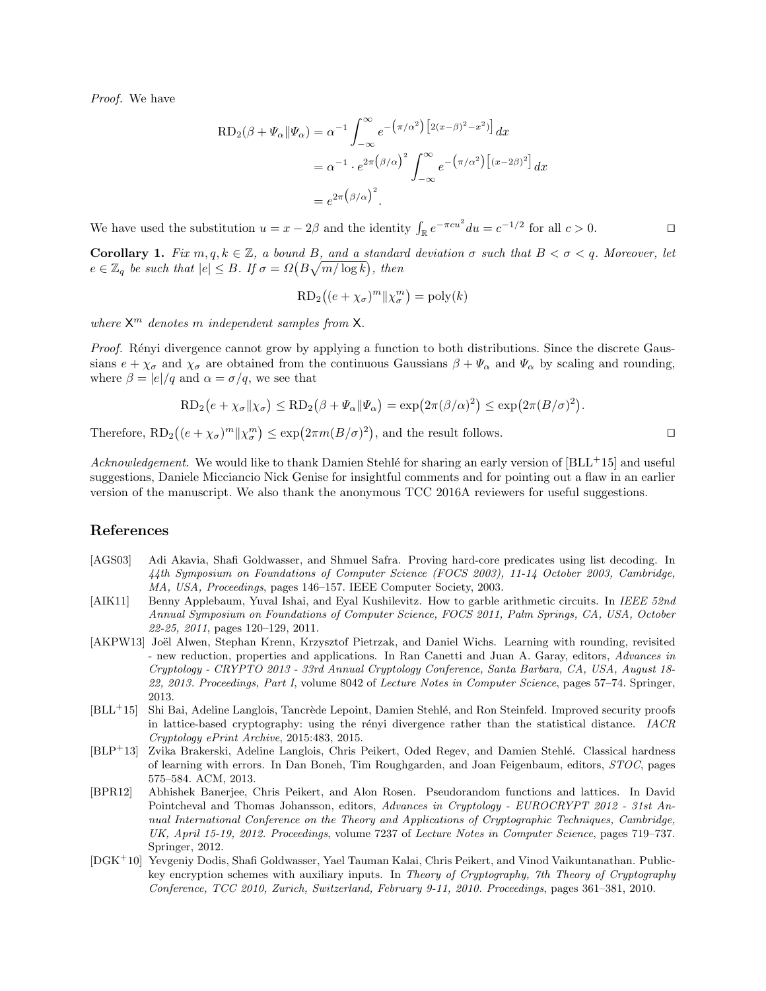Proof. We have

$$
RD_2(\beta + \Psi_\alpha || \Psi_\alpha) = \alpha^{-1} \int_{-\infty}^{\infty} e^{-\left(\pi/\alpha^2\right) \left[2(x-\beta)^2 - x^2\right]} dx
$$
  

$$
= \alpha^{-1} \cdot e^{2\pi \left(\beta/\alpha\right)^2} \int_{-\infty}^{\infty} e^{-\left(\pi/\alpha^2\right) \left[(x-2\beta)^2\right]} dx
$$
  

$$
= e^{2\pi \left(\beta/\alpha\right)^2}.
$$

We have used the substitution  $u = x - 2\beta$  and the identity  $\int_{\mathbb{R}} e^{-\pi c u^2} du = c^{-1/2}$  for all  $c > 0$ .

**Corollary 1.** Fix  $m, q, k \in \mathbb{Z}$ , a bound B, and a standard deviation  $\sigma$  such that  $B < \sigma < q$ . Moreover, let  $e \in \mathbb{Z}_q$  be such that  $|e| \leq B$ . If  $\sigma = \Omega(B\sqrt{m/\log k})$ , then

$$
RD_2((e + \chi_{\sigma})^m || \chi_{\sigma}^m) = poly(k)
$$

where  $X^m$  denotes m independent samples from X.

Proof. Rényi divergence cannot grow by applying a function to both distributions. Since the discrete Gaussians  $e + \chi_{\sigma}$  and  $\chi_{\sigma}$  are obtained from the continuous Gaussians  $\beta + \Psi_{\alpha}$  and  $\Psi_{\alpha}$  by scaling and rounding, where  $\beta = |e|/q$  and  $\alpha = \sigma/q$ , we see that

$$
RD_2(e + \chi_{\sigma} || \chi_{\sigma}) \leq RD_2(\beta + \Psi_{\alpha} || \Psi_{\alpha}) = \exp(2\pi (\beta/\alpha)^2) \leq \exp(2\pi (B/\sigma)^2).
$$

Therefore,  $RD_2((e + \chi_{\sigma})^m || \chi_{\sigma}^m) \leq \exp(2\pi m (B/\sigma)^2)$ , and the result follows.

Acknowledgement. We would like to thank Damien Stehle<sup>f</sup> for sharing an early version of  $|BLL+15|$  and useful suggestions, Daniele Micciancio Nick Genise for insightful comments and for pointing out a flaw in an earlier

# References

[AGS03] Adi Akavia, Shafi Goldwasser, and Shmuel Safra. Proving hard-core predicates using list decoding. In 44th Symposium on Foundations of Computer Science (FOCS 2003), 11-14 October 2003, Cambridge, MA, USA, Proceedings, pages 146–157. IEEE Computer Society, 2003.

version of the manuscript. We also thank the anonymous TCC 2016A reviewers for useful suggestions.

- [AIK11] Benny Applebaum, Yuval Ishai, and Eyal Kushilevitz. How to garble arithmetic circuits. In IEEE 52nd Annual Symposium on Foundations of Computer Science, FOCS 2011, Palm Springs, CA, USA, October 22-25, 2011, pages 120–129, 2011.
- [AKPW13] Joël Alwen, Stephan Krenn, Krzysztof Pietrzak, and Daniel Wichs. Learning with rounding, revisited - new reduction, properties and applications. In Ran Canetti and Juan A. Garay, editors, Advances in Cryptology - CRYPTO 2013 - 33rd Annual Cryptology Conference, Santa Barbara, CA, USA, August 18- 22, 2013. Proceedings, Part I, volume 8042 of Lecture Notes in Computer Science, pages 57–74. Springer, 2013.
- $[BLL+15]$  Shi Bai, Adeline Langlois, Tancrède Lepoint, Damien Stehlé, and Ron Steinfeld. Improved security proofs in lattice-based cryptography: using the rényi divergence rather than the statistical distance.  $IACR$ Cryptology ePrint Archive, 2015:483, 2015.
- [BLP<sup>+</sup>13] Zvika Brakerski, Adeline Langlois, Chris Peikert, Oded Regev, and Damien Stehlé. Classical hardness of learning with errors. In Dan Boneh, Tim Roughgarden, and Joan Feigenbaum, editors, STOC, pages 575–584. ACM, 2013.
- [BPR12] Abhishek Banerjee, Chris Peikert, and Alon Rosen. Pseudorandom functions and lattices. In David Pointcheval and Thomas Johansson, editors, Advances in Cryptology - EUROCRYPT 2012 - 31st Annual International Conference on the Theory and Applications of Cryptographic Techniques, Cambridge, UK, April 15-19, 2012. Proceedings, volume 7237 of Lecture Notes in Computer Science, pages 719–737. Springer, 2012.
- [DGK<sup>+</sup>10] Yevgeniy Dodis, Shafi Goldwasser, Yael Tauman Kalai, Chris Peikert, and Vinod Vaikuntanathan. Publickey encryption schemes with auxiliary inputs. In Theory of Cryptography, 7th Theory of Cryptography Conference, TCC 2010, Zurich, Switzerland, February 9-11, 2010. Proceedings, pages 361–381, 2010.